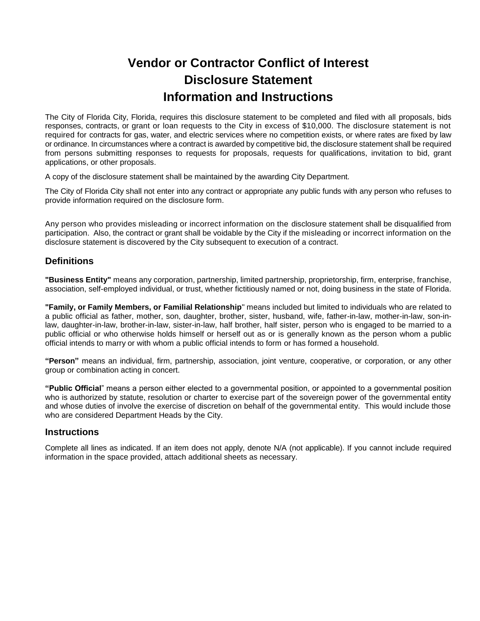## **Vendor or Contractor Conflict of Interest Disclosure Statement Information and Instructions**

 The City of Florida City, Florida, requires this disclosure statement to be completed and filed with all proposals, bids responses, contracts, or grant or loan requests to the City in excess of \$10,000. The disclosure statement is not required for contracts for gas, water, and electric services where no competition exists, or where rates are fixed by law or ordinance. In circumstances where a contract is awarded by competitive bid, the disclosure statement shall be required from persons submitting responses to requests for proposals, requests for qualifications, invitation to bid, grant applications, or other proposals.

A copy of the disclosure statement shall be maintained by the awarding City Department.

 The City of Florida City shall not enter into any contract or appropriate any public funds with any person who refuses to provide information required on the disclosure form.

 Any person who provides misleading or incorrect information on the disclosure statement shall be disqualified from participation. Also, the contract or grant shall be voidable by the City if the misleading or incorrect information on the disclosure statement is discovered by the City subsequent to execution of a contract.

## Definitions

**Definitions**<br>"**Business Entity**" means any corporation, partnership, limited partnership, proprietorship, firm, enterprise, franchise, association, self-employed individual, or trust, whether fictitiously named or not, doing business in the state of Florida.

 **"Family, or Family Members, or Familial Relationship**" means included but limited to individuals who are related to a public official as father, mother, son, daughter, brother, sister, husband, wife, father-in-law, mother-in-law, son-in- law, daughter-in-law, brother-in-law, sister-in-law, half brother, half sister, person who is engaged to be married to a public official or who otherwise holds himself or herself out as or is generally known as the person whom a public official intends to marry or with whom a public official intends to form or has formed a household.

 **"Person"** means an individual, firm, partnership, association, joint venture, cooperative, or corporation, or any other group or combination acting in concert.

 **"Public Official**" means a person either elected to a governmental position, or appointed to a governmental position who is authorized by statute, resolution or charter to exercise part of the sovereign power of the governmental entity and whose duties of involve the exercise of discretion on behalf of the governmental entity. This would include those who are considered Department Heads by the City.

## **Instructions**

 Complete all lines as indicated. If an item does not apply, denote N/A (not applicable). If you cannot include required information in the space provided, attach additional sheets as necessary.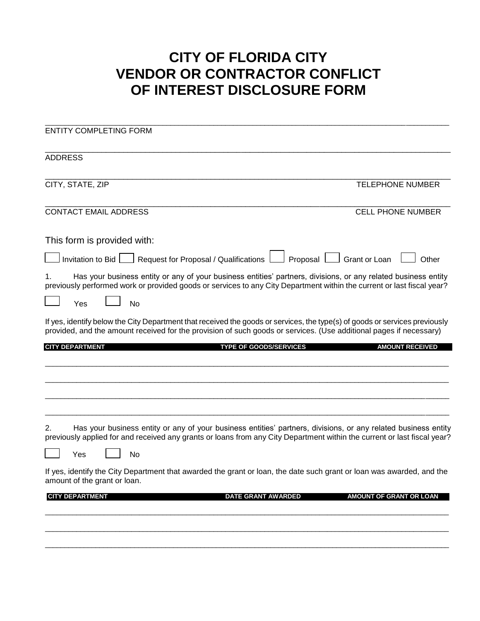## **CITY OF FLORIDA CITY VENDOR OR CONTRACTOR CONFLICT OF INTEREST DISCLOSURE FORM**

| <b>ENTITY COMPLETING FORM</b>                                                                                                                                                                                                                     |                                |
|---------------------------------------------------------------------------------------------------------------------------------------------------------------------------------------------------------------------------------------------------|--------------------------------|
| <b>ADDRESS</b>                                                                                                                                                                                                                                    |                                |
| CITY, STATE, ZIP<br><b>TELEPHONE NUMBER</b>                                                                                                                                                                                                       |                                |
| <b>CONTACT EMAIL ADDRESS</b>                                                                                                                                                                                                                      | <b>CELL PHONE NUMBER</b>       |
| This form is provided with:                                                                                                                                                                                                                       |                                |
| Request for Proposal / Qualifications  <br>Proposal   Grant or Loan<br>Invitation to Bid $\Box$                                                                                                                                                   | Other                          |
| Has your business entity or any of your business entities' partners, divisions, or any related business entity<br>1.<br>previously performed work or provided goods or services to any City Department within the current or last fiscal year?    |                                |
| No<br>Yes                                                                                                                                                                                                                                         |                                |
| If yes, identify below the City Department that received the goods or services, the type(s) of goods or services previously<br>provided, and the amount received for the provision of such goods or services. (Use additional pages if necessary) |                                |
| <b>CITY DEPARTMENT</b><br><b>TYPE OF GOODS/SERVICES</b>                                                                                                                                                                                           | <b>AMOUNT RECEIVED</b>         |
|                                                                                                                                                                                                                                                   |                                |
|                                                                                                                                                                                                                                                   |                                |
|                                                                                                                                                                                                                                                   |                                |
| Has your business entity or any of your business entities' partners, divisions, or any related business entity<br>2.<br>previously applied for and received any grants or loans from any City Department within the current or last fiscal year?  |                                |
| No<br>Yes                                                                                                                                                                                                                                         |                                |
| If yes, identify the City Department that awarded the grant or loan, the date such grant or loan was awarded, and the<br>amount of the grant or loan.                                                                                             |                                |
| <b>CITY DEPARTMENT</b><br><b>DATE GRANT AWARDED</b>                                                                                                                                                                                               | <b>AMOUNT OF GRANT OR LOAN</b> |
|                                                                                                                                                                                                                                                   |                                |
|                                                                                                                                                                                                                                                   |                                |
|                                                                                                                                                                                                                                                   |                                |